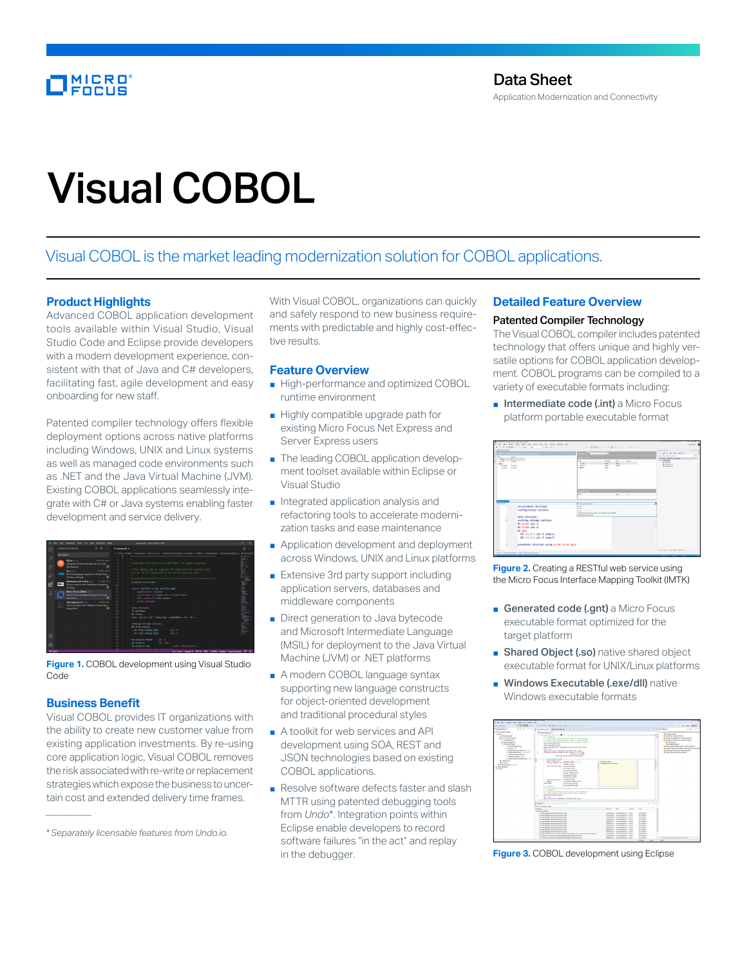# MICRO<br>FOCUS

# Visual COBOL

# Visual COBOL is the market leading modernization solution for COBOL applications.

# **Product Highlights**

Advanced COBOL application development tools available within Visual Studio, Visual Studio Code and Eclipse provide developers with a modern development experience, consistent with that of Java and C# developers, facilitating fast, agile development and easy onboarding for new staff.

Patented compiler technology offers flexible deployment options across native platforms including Windows, UNIX and Linux systems as well as managed code environments such as .NET and the Java Virtual Machine (JVM). Existing COBOL applications seamlessly integrate with C# or Java systems enabling faster development and service delivery.

| full Selection View on that Terminal Help-<br>File:                                                                      | aircrafe.chd - Visual Sharley Code                                                                                                                                                                                          |                   |  |  |  |  |
|--------------------------------------------------------------------------------------------------------------------------|-----------------------------------------------------------------------------------------------------------------------------------------------------------------------------------------------------------------------------|-------------------|--|--|--|--|
| $\nabla \cdot \vec{n} =$<br>EXTENSIONS INCIALIZE<br>rC                                                                   | E-aimsterH X                                                                                                                                                                                                                | m<br>$\sim$       |  |  |  |  |
| <b>Oinstalled</b><br>o                                                                                                   | c > Users > Public > Documents > Micro Focus > Enterprise Developer > Samples > COBOL > AirportDemo > AirportLinkLibrary > E aircode.d                                                                                      |                   |  |  |  |  |
| <b>POINT TIME</b><br>$0.039 + 41$<br>ТS<br>Integrates ESUint JavaScript into VS Code.<br>Þ<br>o<br><b>Dirk Banzmer</b>   | * Copyright (C) Hicro Focus 1984-2017, All rights reserved.                                                                                                                                                                 |                   |  |  |  |  |
| <b>OTH WAY</b><br>Go com<br>രാ<br>Kich do language support for Visual Studi<br>æ<br>Go Team at Google<br>×               | * This sample code is supplied for demonstration purposes only<br>* on an "as is" basis and is for use at your own risk.                                                                                                    |                   |  |  |  |  |
| Markdown All in One 114<br>divided and<br>留<br>$M+$<br>All you need to write Markdown (keyboard<br>۰<br><b>Sy Zhang</b>  | $\circ$<br>program-1d aircode.<br>tó.<br>select airfile maign airfile-name<br>11                                                                                                                                            |                   |  |  |  |  |
| Mirro Farus COROL<br>д<br>Micro Focus language tooling for VS Code<br>ministered<br>o                                    | 12<br>organization indexed<br>record key is f-code with no duplicates<br>$\mathbf{1}$<br>14<br>file status is file-status                                                                                                   |                   |  |  |  |  |
| Test Explorer UI 11111<br>$0.4306$ $+1$<br>Run your tests in the Sidebar of Visual Stu-<br><b>Hollan Bred</b><br>$\circ$ | access dynamic.<br>15<br>16<br>data division.<br>12<br>fit abettle.<br>18<br>01 Finer.<br>10 <sup>1</sup><br>copy "airrec.coy" replacing -- (prefix)-- by --f--,<br>20 <sup>2</sup><br>21<br>working storage section.<br>22 |                   |  |  |  |  |
| Q                                                                                                                        | m file-states.<br>2X<br>on file-status-hitt<br>ale of<br>2ċ<br>on file-status-hitz.<br>ale of<br>25.<br>26                                                                                                                  | Taller and<br>$-$ |  |  |  |  |
| Ø                                                                                                                        | 01 alreest-found<br>old %<br>27<br>01 alreert<br>ole sf5).<br>28<br>value "dd aircorts".<br>29<br>72 alreent-dat                                                                                                            |                   |  |  |  |  |
| 0.141                                                                                                                    | In 1 Col 1 Seaper 4 UTF-8 Old COBOL Dalect Source Format R D                                                                                                                                                                |                   |  |  |  |  |

**Figure 1.** COBOL development using Visual Studio Code

# **Business Benefit**

*\_\_\_\_\_\_\_\_\_\_*

Visual COBOL provides IT organizations with the ability to create new customer value from existing application investments. By re-using core application logic, Visual COBOL removes the risk associated with re-write or replacement strategies which expose the business to uncertain cost and extended delivery time frames.

With Visual COBOL, organizations can quickly and safely respond to new business requirements with predictable and highly cost-effective results.

### **Feature Overview**

- High-performance and optimized COBOL runtime environment
- Highly compatible upgrade path for existing Micro Focus Net Express and Server Express users
- The leading COBOL application development toolset available within Eclipse or Visual Studio
- Integrated application analysis and refactoring tools to accelerate modernization tasks and ease maintenance
- Application development and deployment across Windows, UNIX and Linux platforms
- Extensive 3rd party support including application servers, databases and middleware components
- Direct generation to Java bytecode and Microsoft Intermediate Language (MSIL) for deployment to the Java Virtual Machine (JVM) or .NET platforms
- A modern COBOL language syntax supporting new language constructs for object-oriented development and traditional procedural styles
- A toolkit for web services and API development using SOA, REST and JSON technologies based on existing COBOL applications.
- Resolve software defects faster and slash MTTR using patented debugging tools from *Undo*\*. Integration points within Eclipse enable developers to record software failures "in the act" and replay in the debugger.

# **Detailed Feature Overview**

# Patented Compiler Technology

The Visual COBOL compiler includes patented technology that offers unique and highly versatile options for COBOL application development. COBOL programs can be compiled to a variety of executable formats including:

■ Intermediate code (.int) a Micro Focus platform portable executable format

|                                                                                                              | <b>SECK Easy Paint/PROCRAF   a Program   Freynand  </b>                                               |                                                                                                        |                                                          |                         |                                                                 | · Listen Autom<br>$0.0013 - 5.001$ $\sqrt{-1}$                                          |
|--------------------------------------------------------------------------------------------------------------|-------------------------------------------------------------------------------------------------------|--------------------------------------------------------------------------------------------------------|----------------------------------------------------------|-------------------------|-----------------------------------------------------------------|-----------------------------------------------------------------------------------------|
| Anys<br>Serie                                                                                                |                                                                                                       | <b>CONTRACTOR</b>                                                                                      |                                                          |                         | Sand School Eaton (SAL)<br>×<br><b>Chapter Contract Carried</b> |                                                                                         |
| v<br>$n \overline{m}$<br><b>Edward</b><br>$n =$<br>m-<br>an shirt in<br>Same 2<br><b>Fame D</b><br>su unte 2 |                                                                                                       | ters.<br><b>G CH</b><br><b>DATE</b><br>$-911$                                                          | <b>Dealer</b><br><b>Fert</b><br><b>PPA</b><br><b>Ing</b> | <b>Sec.</b><br>my.<br>m | Aug.                                                            | $-10$ and hands<br>A Francisco<br><b>B</b> Peacers and<br><b><i>ER BELIEVING AN</i></b> |
|                                                                                                              |                                                                                                       | <b>Personal Please</b><br><b>Super</b><br>$\sim$<br><b>Sens</b>                                        |                                                          |                         |                                                                 |                                                                                         |
| <b>Supplier 1</b>                                                                                            |                                                                                                       | If noting bone later                                                                                   |                                                          |                         |                                                                 |                                                                                         |
|                                                                                                              | environment division.<br>configuration section.                                                       | $\sim$<br>$\ddot{\phantom{1}}$<br>$\bullet$ in<br>@ Prompediate form of PC Lines ATRCA are at \$50.00. |                                                          |                         |                                                                 |                                                                                         |
|                                                                                                              | data division.                                                                                        | IT meters through better                                                                               |                                                          |                         |                                                                 |                                                                                         |
|                                                                                                              | working-storage section.<br>01 a-rec oic x.<br>01 birec pic 9.<br>01 grp.<br>03 child-1 pic 9 comp-3. |                                                                                                        |                                                          |                         |                                                                 |                                                                                         |
|                                                                                                              | 03 child-2 pic 9 comp-3.                                                                              |                                                                                                        |                                                          |                         |                                                                 |                                                                                         |
|                                                                                                              | procedure division using a-rec b-rec grp.                                                             |                                                                                                        |                                                          |                         |                                                                 |                                                                                         |

**Figure 2.** Creating a RESTful web service using the Micro Focus Interface Mapping Toolkit (IMTK)

- Generated code (.gnt) a Micro Focus executable format optimized for the target platform
- Shared Object (.so) native shared object executable format for UNIX/Linux platforms
- Windows Executable (.exe/dll) native Windows executable formats



**Figure 3.** COBOL development using Eclipse

<sup>\*</sup>*Separately licensable features from Undo.io.*